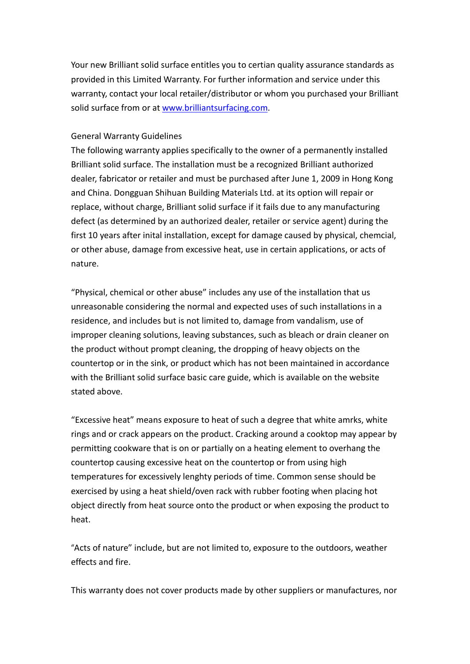Your new Brilliant solid surface entitles you to certian quality assurance standards as provided in this Limited Warranty. For further information and service under this warranty, contact your local retailer/distributor or whom you purchased your Brilliant solid surface from or at [www.brilliantsurfacing.com](http://www.brilliantsurfacing.com/).

## General Warranty Guidelines

The following warranty applies specifically to the owner of <sup>a</sup> permanently installed Brilliant solid surface. The installation must be <sup>a</sup> recognized Brilliant authorized dealer, fabricator or retailer and must be purchased after June 1, 2009 in Hong Kong and China. Dongguan Shihuan Building Materials Ltd. at its option will repair or replace, without charge, Brilliant solid surface if it fails due to any manufacturing defect (as determined by an authorized dealer, retailer or service agent) during the first 10 years after inital installation, except for damage caused by physical, chemcial, or other abuse, damage from excessive heat, use in certain applications, or acts of nature.

"Physical, chemical or other abuse" includes any use of the installation that us unreasonable considering the normal and expected uses of such installations in <sup>a</sup> residence, and includes but is not limited to, damage from vandalism, use of improper cleaning solutions, leaving substances, such as bleach or drain cleaner on the product without prompt cleaning, the dropping of heavy objects on the countertop or in the sink, or product which has not been maintained in accordance with the Brilliant solid surface basic care guide, which is available on the website stated above.

"Excessive heat" means exposure to heat of such <sup>a</sup> degree that white amrks, white rings and or crack appears on the product. Cracking around a cooktop may appear by permitting cookware that is on or partially on <sup>a</sup> heating element to overhang the countertop causing excessive heat on the countertop or from using high temperatures for excessively lenghty periods of time. Common sense should be exercised by using <sup>a</sup> heat shield/oven rack with rubber footing when placing hot object directly from heat source onto the product or when exposing the product to heat.

"Acts of nature" include, but are not limited to, exposure to the outdoors, weather effects and fire.

This warranty does not cover products made by other suppliers or manufactures, nor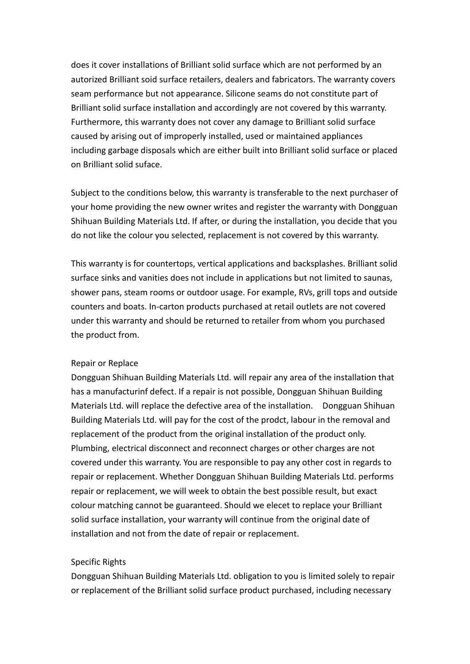does it cover installations of Brilliant solid surface which are not performed by an autorized Brilliant soid surface retailers, dealers and fabricators. The warranty covers seam performance but not appearance. Silicone seams donot constitute part of Brilliant solid surface installation and accordingly are not covered by this warranty. Furthermore, this warranty does not cover any damage to Brilliant solid surface caused by arising out of improperly installed, used or maintained appliances including garbage disposals which are either built into Brilliant solid surface or placed on Brilliant solid suface.

Subject to the conditions below, this warranty is transferable to the next purchaser of your home providing the new owner writes and register the warranty with Dongguan Shihuan Building Materials Ltd. If after, or during the installation, you decide that you do not like the colour you selected, replacement is not covered by this warranty.

This warranty is for countertops, vertical applications and backsplashes. Brilliant solid surface sinks and vanities does not include in applications but not limited to saunas, shower pans, steam rooms or outdoor usage. For example, RVs, grill tops and outside counters and boats. In-carton products purchased at retail outlets are not covered under this warranty and should be returned to retailer from whom you purchased the product from.

## Repair or Replace

Dongguan Shihuan Building Materials Ltd. will repair any area of the installation that has <sup>a</sup> manufacturinf defect. If <sup>a</sup> repair is not possible, Dongguan Shihuan Building Materials Ltd. will replace the defective area of the installation. Dongguan Shihuan Building Materials Ltd. will pay for the cost of the prodct, labour in the removal and replacement of the product from the original installation of the product only. Plumbing, electrical disconnect and reconnect charges or other charges are not covered under this warranty. You are responsible to pay any other cost in regards to repair or replacement. Whether Dongguan Shihuan Building Materials Ltd. performs repair or replacement, we will week to obtain the best possible result, but exact colour matching cannot be guaranteed. Should we elecet to replace your Brilliant solid surface installation, your warranty will continue from the original date of installation and not from the date of repair or replacement.

## Specific Rights

Dongguan Shihuan Building Materials Ltd. obligation to you is limited solely to repair or replacement of the Brilliant solid surface product purchased, including necessary